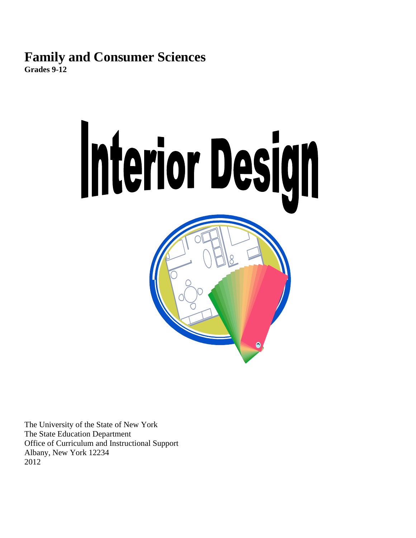# **Family and Consumer Sciences**

**Grades 9-12**



The University of the State of New York The State Education Department Office of Curriculum and Instructional Support Albany, New York 12234 2012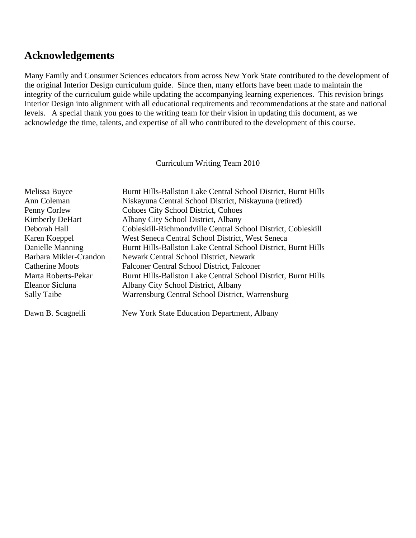# **Acknowledgements**

Many Family and Consumer Sciences educators from across New York State contributed to the development of the original Interior Design curriculum guide. Since then, many efforts have been made to maintain the integrity of the curriculum guide while updating the accompanying learning experiences. This revision brings Interior Design into alignment with all educational requirements and recommendations at the state and national levels. A special thank you goes to the writing team for their vision in updating this document, as we acknowledge the time, talents, and expertise of all who contributed to the development of this course.

#### Curriculum Writing Team 2010

| Melissa Buyce          | Burnt Hills-Ballston Lake Central School District, Burnt Hills |
|------------------------|----------------------------------------------------------------|
| Ann Coleman            | Niskayuna Central School District, Niskayuna (retired)         |
| Penny Corlew           | <b>Cohoes City School District, Cohoes</b>                     |
| <b>Kimberly DeHart</b> | Albany City School District, Albany                            |
| Deborah Hall           | Cobleskill-Richmondville Central School District, Cobleskill   |
| Karen Koeppel          | West Seneca Central School District, West Seneca               |
| Danielle Manning       | Burnt Hills-Ballston Lake Central School District, Burnt Hills |
| Barbara Mikler-Crandon | Newark Central School District, Newark                         |
| <b>Catherine Moots</b> | Falconer Central School District, Falconer                     |
| Marta Roberts-Pekar    | Burnt Hills-Ballston Lake Central School District, Burnt Hills |
| Eleanor Sicluna        | Albany City School District, Albany                            |
| <b>Sally Taibe</b>     | Warrensburg Central School District, Warrensburg               |
| Dawn B. Scagnelli      | New York State Education Department, Albany                    |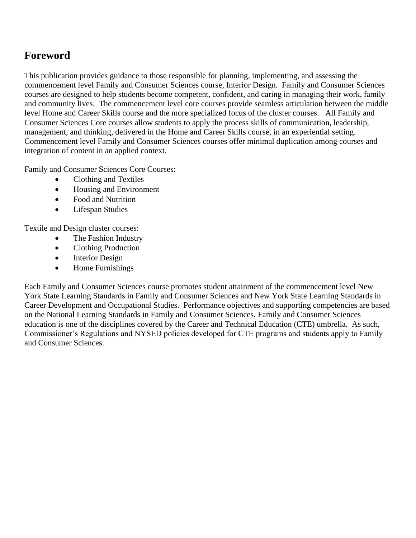# **Foreword**

This publication provides guidance to those responsible for planning, implementing, and assessing the commencement level Family and Consumer Sciences course, Interior Design. Family and Consumer Sciences courses are designed to help students become competent, confident, and caring in managing their work, family and community lives. The commencement level core courses provide seamless articulation between the middle level Home and Career Skills course and the more specialized focus of the cluster courses. All Family and Consumer Sciences Core courses allow students to apply the process skills of communication, leadership, management, and thinking, delivered in the Home and Career Skills course, in an experiential setting. Commencement level Family and Consumer Sciences courses offer minimal duplication among courses and integration of content in an applied context.

Family and Consumer Sciences Core Courses:

- Clothing and Textiles
- Housing and Environment
- Food and Nutrition
- Lifespan Studies

Textile and Design cluster courses:

- The Fashion Industry
- Clothing Production
- Interior Design
- Home Furnishings

Each Family and Consumer Sciences course promotes student attainment of the commencement level New York State Learning Standards in Family and Consumer Sciences and New York State Learning Standards in Career Development and Occupational Studies. Performance objectives and supporting competencies are based on the National Learning Standards in Family and Consumer Sciences. Family and Consumer Sciences education is one of the disciplines covered by the Career and Technical Education (CTE) umbrella. As such, Commissioner's Regulations and NYSED policies developed for CTE programs and students apply to Family and Consumer Sciences.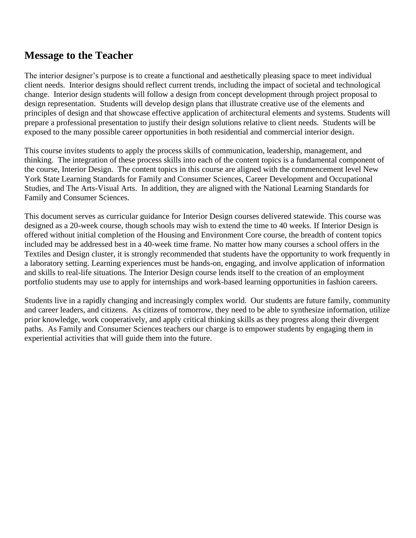# **Message to the Teacher**

The interior designer's purpose is to create a functional and aesthetically pleasing space to meet individual client needs. Interior designs should reflect current trends, including the impact of societal and technological change. Interior design students will follow a design from concept development through project proposal to design representation. Students will develop design plans that illustrate creative use of the elements and principles of design and that showcase effective application of architectural elements and systems. Students will prepare a professional presentation to justify their design solutions relative to client needs. Students will be exposed to the many possible career opportunities in both residential and commercial interior design.

This course invites students to apply the process skills of communication, leadership, management, and thinking. The integration of these process skills into each of the content topics is a fundamental component of the course, Interior Design. The content topics in this course are aligned with the commencement level New York State Learning Standards for Family and Consumer Sciences, Career Development and Occupational Studies, and The Arts-Visual Arts. In addition, they are aligned with the National Learning Standards for Family and Consumer Sciences.

This document serves as curricular guidance for Interior Design courses delivered statewide. This course was designed as a 20-week course, though schools may wish to extend the time to 40 weeks. If Interior Design is offered without initial completion of the Housing and Environment Core course, the breadth of content topics included may be addressed best in a 40-week time frame. No matter how many courses a school offers in the Textiles and Design cluster, it is strongly recommended that students have the opportunity to work frequently in a laboratory setting. Learning experiences must be hands-on, engaging, and involve application of information and skills to real-life situations. The Interior Design course lends itself to the creation of an employment portfolio students may use to apply for internships and work-based learning opportunities in fashion careers.

Students live in a rapidly changing and increasingly complex world. Our students are future family, community and career leaders, and citizens. As citizens of tomorrow, they need to be able to synthesize information, utilize prior knowledge, work cooperatively, and apply critical thinking skills as they progress along their divergent paths. As Family and Consumer Sciences teachers our charge is to empower students by engaging them in experiential activities that will guide them into the future.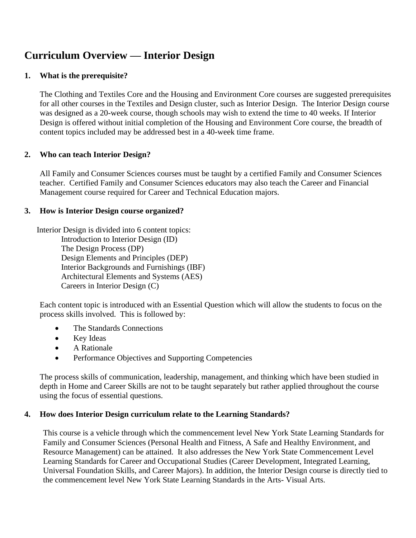# **Curriculum Overview — Interior Design**

# **1. What is the prerequisite?**

The Clothing and Textiles Core and the Housing and Environment Core courses are suggested prerequisites for all other courses in the Textiles and Design cluster, such as Interior Design. The Interior Design course was designed as a 20-week course, though schools may wish to extend the time to 40 weeks. If Interior Design is offered without initial completion of the Housing and Environment Core course, the breadth of content topics included may be addressed best in a 40-week time frame.

# **2. Who can teach Interior Design?**

All Family and Consumer Sciences courses must be taught by a certified Family and Consumer Sciences teacher. Certified Family and Consumer Sciences educators may also teach the Career and Financial Management course required for Career and Technical Education majors.

# **3. How is Interior Design course organized?**

Interior Design is divided into 6 content topics: Introduction to Interior Design (ID) The Design Process (DP) Design Elements and Principles (DEP) Interior Backgrounds and Furnishings (IBF) Architectural Elements and Systems (AES) Careers in Interior Design (C)

Each content topic is introduced with an Essential Question which will allow the students to focus on the process skills involved. This is followed by:

- The Standards Connections
- Key Ideas
- A Rationale
- Performance Objectives and Supporting Competencies

The process skills of communication, leadership, management, and thinking which have been studied in depth in Home and Career Skills are not to be taught separately but rather applied throughout the course using the focus of essential questions.

# **4. How does Interior Design curriculum relate to the Learning Standards?**

This course is a vehicle through which the commencement level New York State Learning Standards for Family and Consumer Sciences (Personal Health and Fitness, A Safe and Healthy Environment, and Resource Management) can be attained. It also addresses the New York State Commencement Level Learning Standards for Career and Occupational Studies (Career Development, Integrated Learning, Universal Foundation Skills, and Career Majors). In addition, the Interior Design course is directly tied to the commencement level New York State Learning Standards in the Arts- Visual Arts.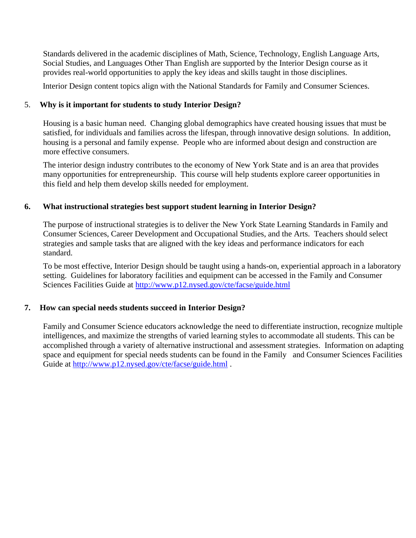Standards delivered in the academic disciplines of Math, Science, Technology, English Language Arts, Social Studies, and Languages Other Than English are supported by the Interior Design course as it provides real-world opportunities to apply the key ideas and skills taught in those disciplines.

Interior Design content topics align with the National Standards for Family and Consumer Sciences.

### 5. **Why is it important for students to study Interior Design?**

Housing is a basic human need. Changing global demographics have created housing issues that must be satisfied, for individuals and families across the lifespan, through innovative design solutions. In addition, housing is a personal and family expense. People who are informed about design and construction are more effective consumers.

The interior design industry contributes to the economy of New York State and is an area that provides many opportunities for entrepreneurship. This course will help students explore career opportunities in this field and help them develop skills needed for employment.

#### **6. What instructional strategies best support student learning in Interior Design?**

The purpose of instructional strategies is to deliver the New York State Learning Standards in Family and Consumer Sciences, Career Development and Occupational Studies, and the Arts. Teachers should select strategies and sample tasks that are aligned with the key ideas and performance indicators for each standard.

To be most effective, Interior Design should be taught using a hands-on, experiential approach in a laboratory setting. Guidelines for laboratory facilities and equipment can be accessed in the Family and Consumer Sciences Facilities Guide at <http://www.p12.nysed.gov/cte/facse/guide.html>

# **7. How can special needs students succeed in Interior Design?**

Family and Consumer Science educators acknowledge the need to differentiate instruction, recognize multiple intelligences, and maximize the strengths of varied learning styles to accommodate all students. This can be accomplished through a variety of alternative instructional and assessment strategies. Information on adapting space and equipment for special needs students can be found in the Family and Consumer Sciences Facilities Guide at<http://www.p12.nysed.gov/cte/facse/guide.html> .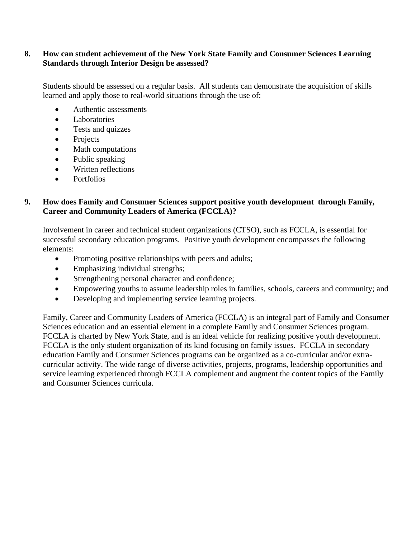### **8. How can student achievement of the New York State Family and Consumer Sciences Learning Standards through Interior Design be assessed?**

Students should be assessed on a regular basis. All students can demonstrate the acquisition of skills learned and apply those to real-world situations through the use of:

- Authentic assessments
- Laboratories
- Tests and quizzes
- Projects
- Math computations
- Public speaking
- Written reflections
- Portfolios

### **9. How does Family and Consumer Sciences support positive youth development through Family, Career and Community Leaders of America (FCCLA)?**

Involvement in career and technical student organizations (CTSO), such as FCCLA, is essential for successful secondary education programs. Positive youth development encompasses the following elements:

- Promoting positive relationships with peers and adults;
- Emphasizing individual strengths;
- Strengthening personal character and confidence;
- Empowering youths to assume leadership roles in families, schools, careers and community; and
- Developing and implementing service learning projects.

Family, Career and Community Leaders of America (FCCLA) is an integral part of Family and Consumer Sciences education and an essential element in a complete Family and Consumer Sciences program. FCCLA is charted by New York State, and is an ideal vehicle for realizing positive youth development. FCCLA is the only student organization of its kind focusing on family issues. FCCLA in secondary education Family and Consumer Sciences programs can be organized as a co-curricular and/or extracurricular activity. The wide range of diverse activities, projects, programs, leadership opportunities and service learning experienced through FCCLA complement and augment the content topics of the Family and Consumer Sciences curricula.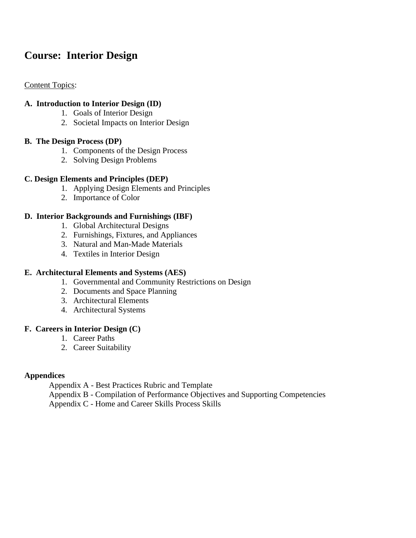# **Course: Interior Design**

### Content Topics:

#### **A. Introduction to Interior Design (ID)**

- 1. Goals of Interior Design
- 2. Societal Impacts on Interior Design

#### **B. The Design Process (DP)**

- 1. Components of the Design Process
- 2. Solving Design Problems

# **C. Design Elements and Principles (DEP)**

- 1. Applying Design Elements and Principles
- 2. Importance of Color

# **D. Interior Backgrounds and Furnishings (IBF)**

- 1. Global Architectural Designs
- 2. Furnishings, Fixtures, and Appliances
- 3. Natural and Man-Made Materials
- 4. Textiles in Interior Design

### **E. Architectural Elements and Systems (AES)**

- 1. Governmental and Community Restrictions on Design
- 2. Documents and Space Planning
- 3. Architectural Elements
- 4. Architectural Systems

#### **F. Careers in Interior Design (C)**

- 1. Career Paths
- 2. Career Suitability

# **Appendices**

Appendix A - Best Practices Rubric and Template

Appendix B - Compilation of Performance Objectives and Supporting Competencies

Appendix C - Home and Career Skills Process Skills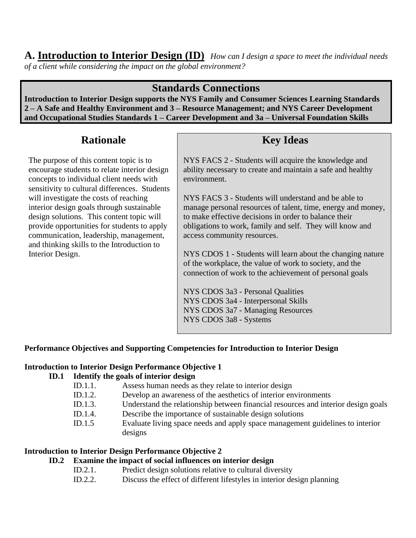# **A. Introduction to Interior Design (ID)** *How can I design a space to meet the individual needs of a client while considering the impact on the global environment?*

# **Standards Connections**

**Introduction to Interior Design supports the NYS Family and Consumer Sciences Learning Standards 2 – A Safe and Healthy Environment and 3 – Resource Management; and NYS Career Development and Occupational Studies Standards 1 – Career Development and 3a – Universal Foundation Skills**

# **Rationale**

The purpose of this content topic is to encourage students to relate interior design concepts to individual client needs with sensitivity to cultural differences. Students will investigate the costs of reaching interior design goals through sustainable design solutions. This content topic will provide opportunities for students to apply communication, leadership, management, and thinking skills to the Introduction to Interior Design.

# **Key Ideas**

NYS FACS 2 - Students will acquire the knowledge and ability necessary to create and maintain a safe and healthy environment.

NYS FACS 3 - Students will understand and be able to manage personal resources of talent, time, energy and money, to make effective decisions in order to balance their obligations to work, family and self. They will know and access community resources.

NYS CDOS 1 - Students will learn about the changing nature of the workplace, the value of work to society, and the connection of work to the achievement of personal goals

NYS CDOS 3a3 - Personal Qualities NYS CDOS 3a4 - Interpersonal Skills NYS CDOS 3a7 - Managing Resources NYS CDOS 3a8 - Systems

# **Performance Objectives and Supporting Competencies for Introduction to Interior Design**

# **Introduction to Interior Design Performance Objective 1**

# **ID.1 Identify the goals of interior design**

- ID.1.1. Assess human needs as they relate to interior design
- ID.1.2. Develop an awareness of the aesthetics of interior environments
- ID.1.3. Understand the relationship between financial resources and interior design goals
- ID.1.4. Describe the importance of sustainable design solutions
- ID.1.5 Evaluate living space needs and apply space management guidelines to interior designs

# **Introduction to Interior Design Performance Objective 2**

# **ID.2 Examine the impact of social influences on interior design**

- ID.2.1. Predict design solutions relative to cultural diversity
- ID.2.2. Discuss the effect of different lifestyles in interior design planning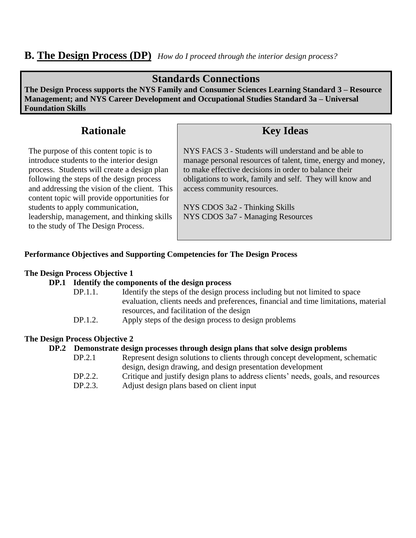# **B. The Design Process (DP)** *How do I proceed through the interior design process?*

# **Standards Connections**

**The Design Process supports the NYS Family and Consumer Sciences Learning Standard 3 – Resource Management; and NYS Career Development and Occupational Studies Standard 3a – Universal Foundation Skills**

# **Rationale**

The purpose of this content topic is to introduce students to the interior design process. Students will create a design plan following the steps of the design process and addressing the vision of the client. This content topic will provide opportunities for students to apply communication, leadership, management, and thinking skills to the study of The Design Process.

# **Key Ideas**

NYS FACS 3 - Students will understand and be able to manage personal resources of talent, time, energy and money, to make effective decisions in order to balance their obligations to work, family and self. They will know and access community resources.

NYS CDOS 3a2 - Thinking Skills NYS CDOS 3a7 - Managing Resources

# **Performance Objectives and Supporting Competencies for The Design Process**

### **The Design Process Objective 1**

# **DP.1 Identify the components of the design process**

- DP.1.1. Identify the steps of the design process including but not limited to space evaluation, clients needs and preferences, financial and time limitations, material resources, and facilitation of the design
- DP.1.2. Apply steps of the design process to design problems

# **The Design Process Objective 2**

#### **DP.2 Demonstrate design processes through design plans that solve design problems**

- DP.2.1 Represent design solutions to clients through concept development, schematic design, design drawing, and design presentation development DP.2.2. Critique and justify design plans to address clients' needs, goals, and resources
- DP.2.3. Adjust design plans based on client input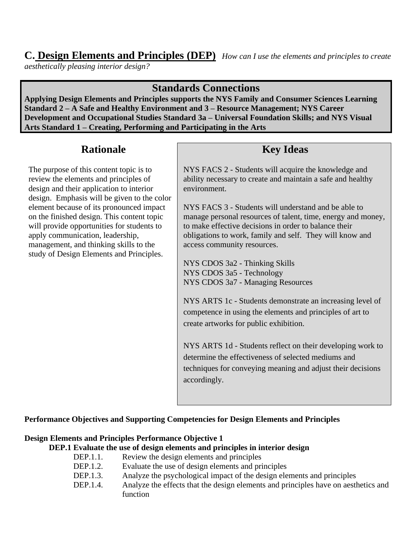# **C. Design Elements and Principles (DEP)** *How can I use the elements and principles to create*

*aesthetically pleasing interior design?*

# **Standards Connections**

**Applying Design Elements and Principles supports the NYS Family and Consumer Sciences Learning Standard 2 – A Safe and Healthy Environment and 3 – Resource Management; NYS Career Development and Occupational Studies Standard 3a – Universal Foundation Skills; and NYS Visual Arts Standard 1 – Creating, Performing and Participating in the Arts**

# **Rationale**

The purpose of this content topic is to review the elements and principles of design and their application to interior design. Emphasis will be given to the color element because of its pronounced impact on the finished design. This content topic will provide opportunities for students to apply communication, leadership, management, and thinking skills to the study of Design Elements and Principles.

# **Key Ideas**

NYS FACS 2 - Students will acquire the knowledge and ability necessary to create and maintain a safe and healthy environment.

NYS FACS 3 - Students will understand and be able to manage personal resources of talent, time, energy and money, to make effective decisions in order to balance their obligations to work, family and self. They will know and access community resources.

NYS CDOS 3a2 - Thinking Skills NYS CDOS 3a5 - Technology NYS CDOS 3a7 - Managing Resources

NYS ARTS 1c - Students demonstrate an increasing level of competence in using the elements and principles of art to create artworks for public exhibition.

NYS ARTS 1d - Students reflect on their developing work to determine the effectiveness of selected mediums and techniques for conveying meaning and adjust their decisions accordingly.

# **Performance Objectives and Supporting Competencies for Design Elements and Principles**

# **Design Elements and Principles Performance Objective 1**

# **DEP.1 Evaluate the use of design elements and principles in interior design**

- DEP.1.1. Review the design elements and principles<br>DEP.1.2. Evaluate the use of design elements and principles
	- Evaluate the use of design elements and principles
- DEP.1.3. Analyze the psychological impact of the design elements and principles
- DEP.1.4. Analyze the effects that the design elements and principles have on aesthetics and function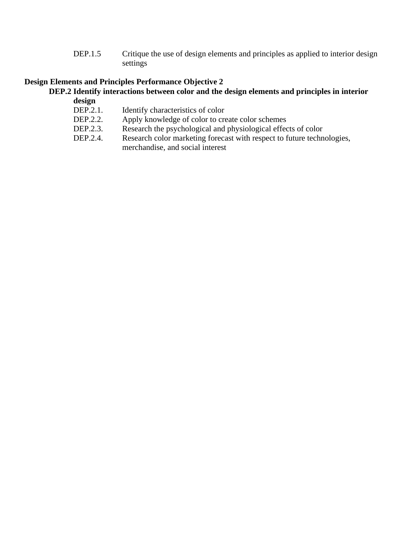DEP.1.5 Critique the use of design elements and principles as applied to interior design settings

# **Design Elements and Principles Performance Objective 2**

#### **DEP.2 Identify interactions between color and the design elements and principles in interior design**

- DEP.2.1. Identify characteristics of color
- DEP.2.2. Apply knowledge of color to create color schemes
- DEP.2.3. Research the psychological and physiological effects of color
- DEP.2.4. Research color marketing forecast with respect to future technologies, merchandise, and social interest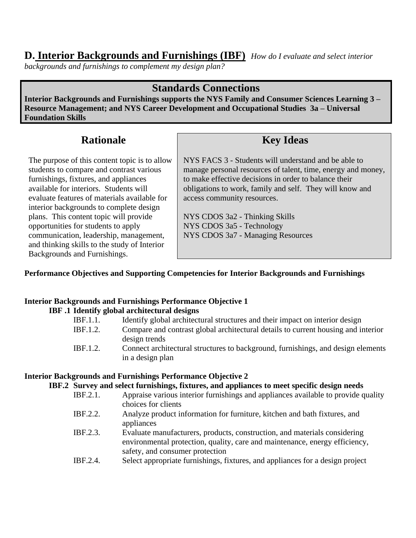# **D. Interior Backgrounds and Furnishings (IBF)** *How do I evaluate and select interior*

*backgrounds and furnishings to complement my design plan?*

# **Standards Connections**

**Interior Backgrounds and Furnishings supports the NYS Family and Consumer Sciences Learning 3 – Resource Management; and NYS Career Development and Occupational Studies 3a – Universal Foundation Skills**

# **Rationale**

The purpose of this content topic is to allow students to compare and contrast various furnishings, fixtures, and appliances available for interiors. Students will evaluate features of materials available for interior backgrounds to complete design plans. This content topic will provide opportunities for students to apply communication, leadership, management, and thinking skills to the study of Interior Backgrounds and Furnishings.

# **Key Ideas**

NYS FACS 3 - Students will understand and be able to manage personal resources of talent, time, energy and money, to make effective decisions in order to balance their obligations to work, family and self. They will know and access community resources.

NYS CDOS 3a2 - Thinking Skills NYS CDOS 3a5 - Technology NYS CDOS 3a7 - Managing Resources

# **Performance Objectives and Supporting Competencies for Interior Backgrounds and Furnishings**

# **Interior Backgrounds and Furnishings Performance Objective 1**

# **IBF .1 Identify global architectural designs**

| <b>IBF.1.1.</b> | Identify global architectural structures and their impact on interior design      |
|-----------------|-----------------------------------------------------------------------------------|
| <b>IBF.1.2.</b> | Compare and contrast global architectural details to current housing and interior |
|                 | design trends                                                                     |
| <b>IBF.1.2.</b> | Connect architectural structures to background, furnishings, and design elements  |
|                 | in a design plan                                                                  |

# **Interior Backgrounds and Furnishings Performance Objective 2**

#### **IBF.2 Survey and select furnishings, fixtures, and appliances to meet specific design needs**

- IBF.2.1. Appraise various interior furnishings and appliances available to provide quality choices for clients
- IBF.2.2. Analyze product information for furniture, kitchen and bath fixtures, and appliances
- IBF.2.3. Evaluate manufacturers, products, construction, and materials considering environmental protection, quality, care and maintenance, energy efficiency, safety, and consumer protection
- IBF.2.4. Select appropriate furnishings, fixtures, and appliances for a design project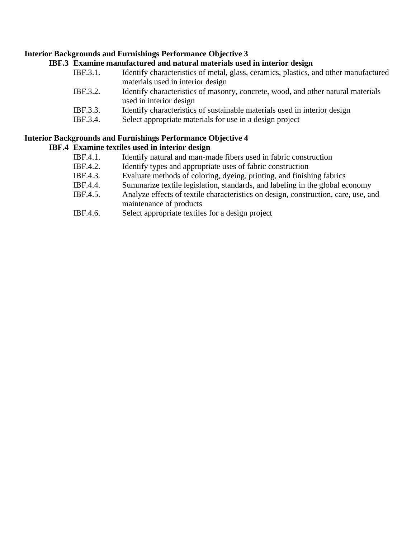#### **Interior Backgrounds and Furnishings Performance Objective 3**

#### **IBF.3 Examine manufactured and natural materials used in interior design**

- IBF.3.1. Identify characteristics of metal, glass, ceramics, plastics, and other manufactured materials used in interior design
- IBF.3.2. Identify characteristics of masonry, concrete, wood, and other natural materials used in interior design
- IBF.3.3. Identify characteristics of sustainable materials used in interior design
- IBF.3.4. Select appropriate materials for use in a design project

# **Interior Backgrounds and Furnishings Performance Objective 4**

### **IBF.4 Examine textiles used in interior design**

- IBF.4.1. Identify natural and man-made fibers used in fabric construction
- IBF.4.2. Identify types and appropriate uses of fabric construction
- IBF.4.3. Evaluate methods of coloring, dyeing, printing, and finishing fabrics
- IBF.4.4. Summarize textile legislation, standards, and labeling in the global economy
- IBF.4.5. Analyze effects of textile characteristics on design, construction, care, use, and maintenance of products
- IBF.4.6. Select appropriate textiles for a design project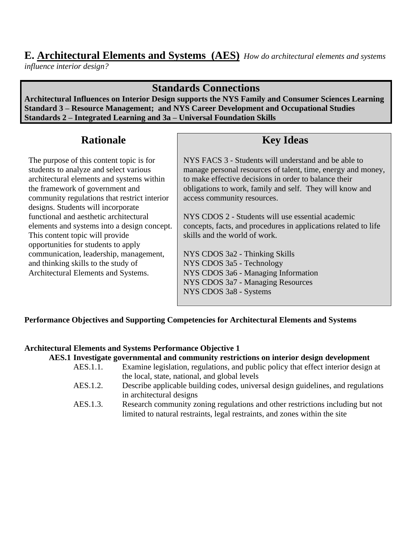# **E. Architectural Elements and Systems (AES)** *How do architectural elements and systems*

*influence interior design?*

# **Standards Connections**

**Architectural Influences on Interior Design supports the NYS Family and Consumer Sciences Learning Standard 3 – Resource Management; and NYS Career Development and Occupational Studies Standards 2 – Integrated Learning and 3a – Universal Foundation Skills**

# **Rationale**

The purpose of this content topic is for students to analyze and select various architectural elements and systems within the framework of government and community regulations that restrict interior designs. Students will incorporate functional and aesthetic architectural elements and systems into a design concept. This content topic will provide opportunities for students to apply communication, leadership, management, and thinking skills to the study of Architectural Elements and Systems.

# **Key Ideas**

NYS FACS 3 - Students will understand and be able to manage personal resources of talent, time, energy and money, to make effective decisions in order to balance their obligations to work, family and self. They will know and access community resources.

NYS CDOS 2 - Students will use essential academic concepts, facts, and procedures in applications related to life skills and the world of work.

NYS CDOS 3a2 - Thinking Skills NYS CDOS 3a5 - Technology NYS CDOS 3a6 - Managing Information NYS CDOS 3a7 - Managing Resources NYS CDOS 3a8 - Systems

# **Performance Objectives and Supporting Competencies for Architectural Elements and Systems**

# **Architectural Elements and Systems Performance Objective 1**

**AES.1 Investigate governmental and community restrictions on interior design development**

- AES.1.1. Examine legislation, regulations, and public policy that effect interior design at the local, state, national, and global levels
- AES.1.2. Describe applicable building codes, universal design guidelines, and regulations in architectural designs
- AES.1.3. Research community zoning regulations and other restrictions including but not limited to natural restraints, legal restraints, and zones within the site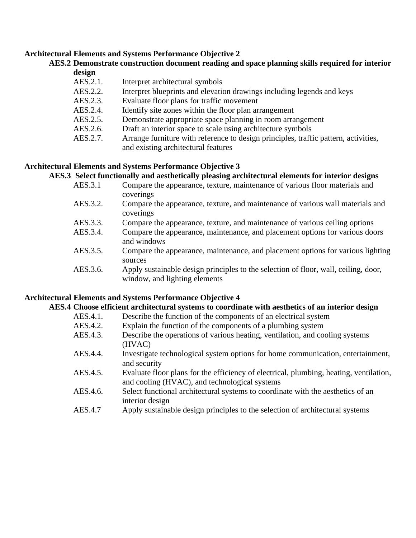#### **Architectural Elements and Systems Performance Objective 2**

#### **AES.2 Demonstrate construction document reading and space planning skills required for interior design**

| Interpret blueprints and elevation drawings including legends and keys              |
|-------------------------------------------------------------------------------------|
|                                                                                     |
|                                                                                     |
|                                                                                     |
|                                                                                     |
| Arrange furniture with reference to design principles, traffic pattern, activities, |
|                                                                                     |
|                                                                                     |

#### **Architectural Elements and Systems Performance Objective 3**

#### **AES.3 Select functionally and aesthetically pleasing architectural elements for interior designs**

- AES.3.1 Compare the appearance, texture, maintenance of various floor materials and coverings
- AES.3.2. Compare the appearance, texture, and maintenance of various wall materials and coverings
- AES.3.3. Compare the appearance, texture, and maintenance of various ceiling options
- AES.3.4. Compare the appearance, maintenance, and placement options for various doors and windows
- AES.3.5. Compare the appearance, maintenance, and placement options for various lighting sources
- AES.3.6. Apply sustainable design principles to the selection of floor, wall, ceiling, door, window, and lighting elements

# **Architectural Elements and Systems Performance Objective 4**

# **AES.4 Choose efficient architectural systems to coordinate with aesthetics of an interior design**

- AES.4.1. Describe the function of the components of an electrical system
- AES.4.2. Explain the function of the components of a plumbing system
- AES.4.3. Describe the operations of various heating, ventilation, and cooling systems (HVAC)
- AES.4.4. Investigate technological system options for home communication, entertainment, and security
- AES.4.5. Evaluate floor plans for the efficiency of electrical, plumbing, heating, ventilation, and cooling (HVAC), and technological systems
- AES.4.6. Select functional architectural systems to coordinate with the aesthetics of an interior design
- AES.4.7 Apply sustainable design principles to the selection of architectural systems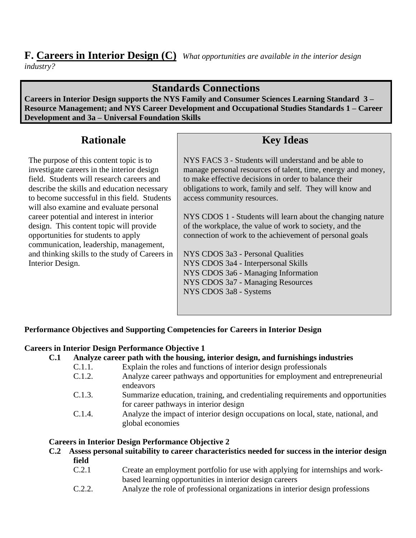# **F. Careers in Interior Design (C)** *What opportunities are available in the interior design industry?*

# **Standards Connections**

**Careers in Interior Design supports the NYS Family and Consumer Sciences Learning Standard 3 – Resource Management; and NYS Career Development and Occupational Studies Standards 1 – Career Development and 3a – Universal Foundation Skills**

# **Rationale**

The purpose of this content topic is to investigate careers in the interior design field. Students will research careers and describe the skills and education necessary to become successful in this field. Students will also examine and evaluate personal career potential and interest in interior design. This content topic will provide opportunities for students to apply communication, leadership, management, and thinking skills to the study of Careers in Interior Design.

# **Key Ideas**

NYS FACS 3 - Students will understand and be able to manage personal resources of talent, time, energy and money, to make effective decisions in order to balance their obligations to work, family and self. They will know and access community resources.

NYS CDOS 1 - Students will learn about the changing nature of the workplace, the value of work to society, and the connection of work to the achievement of personal goals

NYS CDOS 3a3 - Personal Qualities NYS CDOS 3a4 - Interpersonal Skills NYS CDOS 3a6 - Managing Information NYS CDOS 3a7 - Managing Resources NYS CDOS 3a8 - Systems

# **Performance Objectives and Supporting Competencies for Careers in Interior Design**

# **Careers in Interior Design Performance Objective 1**

# **C.1 Analyze career path with the housing, interior design, and furnishings industries**

- C.1.1. Explain the roles and functions of interior design professionals
- C.1.2. Analyze career pathways and opportunities for employment and entrepreneurial endeavors
- C.1.3. Summarize education, training, and credentialing requirements and opportunities for career pathways in interior design
- C.1.4. Analyze the impact of interior design occupations on local, state, national, and global economies

# **Careers in Interior Design Performance Objective 2**

- **C.2 Assess personal suitability to career characteristics needed for success in the interior design field**
	- C.2.1 Create an employment portfolio for use with applying for internships and workbased learning opportunities in interior design careers
	- C.2.2. Analyze the role of professional organizations in interior design professions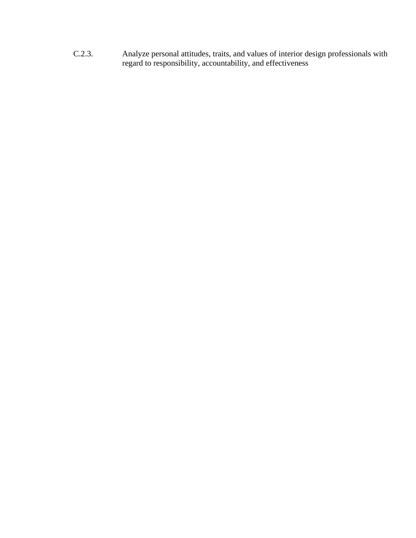C.2.3. Analyze personal attitudes, traits, and values of interior design professionals with regard to responsibility, accountability, and effectiveness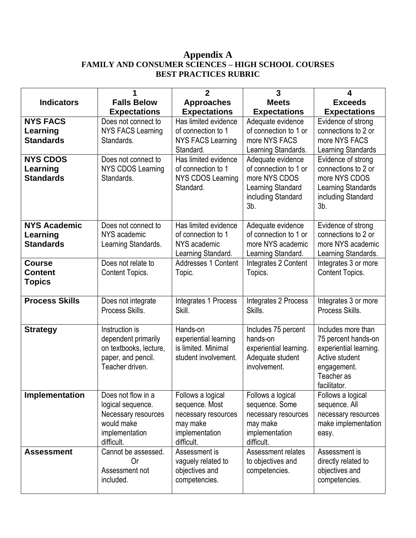# **Appendix A FAMILY AND CONSUMER SCIENCES – HIGH SCHOOL COURSES BEST PRACTICES RUBRIC**

|                       |                          | $\mathbf{2}$                          | 3                                       | 4                                        |
|-----------------------|--------------------------|---------------------------------------|-----------------------------------------|------------------------------------------|
| <b>Indicators</b>     | <b>Falls Below</b>       | <b>Approaches</b>                     | <b>Meets</b>                            | <b>Exceeds</b>                           |
|                       | <b>Expectations</b>      | <b>Expectations</b>                   | <b>Expectations</b>                     | <b>Expectations</b>                      |
| <b>NYS FACS</b>       | Does not connect to      | Has limited evidence                  | Adequate evidence                       | Evidence of strong                       |
| Learning              | <b>NYS FACS Learning</b> | of connection to 1                    | of connection to 1 or                   | connections to 2 or                      |
| <b>Standards</b>      | Standards.               | <b>NYS FACS Learning</b>              | more NYS FACS                           | more NYS FACS                            |
|                       |                          | Standard.                             | Learning Standards.                     | Learning Standards                       |
| <b>NYS CDOS</b>       | Does not connect to      | Has limited evidence                  | Adequate evidence                       | Evidence of strong                       |
| Learning              | NYS CDOS Learning        | of connection to 1                    | of connection to 1 or                   | connections to 2 or<br>more NYS CDOS     |
| <b>Standards</b>      | Standards.               | <b>NYS CDOS Learning</b><br>Standard. | more NYS CDOS                           |                                          |
|                       |                          |                                       | Learning Standard<br>including Standard | Learning Standards<br>including Standard |
|                       |                          |                                       | $3b$ .                                  | $3b$ .                                   |
|                       |                          |                                       |                                         |                                          |
| <b>NYS Academic</b>   | Does not connect to      | Has limited evidence                  | Adequate evidence                       | Evidence of strong                       |
| Learning              | NYS academic             | of connection to 1                    | of connection to 1 or                   | connections to 2 or                      |
| <b>Standards</b>      | Learning Standards.      | NYS academic                          | more NYS academic                       | more NYS academic                        |
|                       |                          | Learning Standard.                    | Learning Standard.                      | Learning Standards.                      |
| <b>Course</b>         | Does not relate to       | Addresses 1 Content                   | Integrates 2 Content                    | Integrates 3 or more                     |
| <b>Content</b>        | Content Topics.          | Topic.                                | Topics.                                 | Content Topics.                          |
| <b>Topics</b>         |                          |                                       |                                         |                                          |
| <b>Process Skills</b> | Does not integrate       | Integrates 1 Process                  |                                         | Integrates 3 or more                     |
|                       | Process Skills.          | Skill.                                | Integrates 2 Process<br>Skills.         | Process Skills.                          |
|                       |                          |                                       |                                         |                                          |
| <b>Strategy</b>       | Instruction is           | Hands-on                              | Includes 75 percent                     | Includes more than                       |
|                       | dependent primarily      | experiential learning                 | hands-on                                | 75 percent hands-on                      |
|                       | on textbooks, lecture,   | is limited. Minimal                   | experiential learning.                  | experiential learning.                   |
|                       | paper, and pencil.       | student involvement.                  | Adequate student                        | Active student                           |
|                       | Teacher driven.          |                                       | involvement.                            | engagement.                              |
|                       |                          |                                       |                                         | Teacher as                               |
|                       | Does not flow in a       | Follows a logical                     |                                         | facilitator.                             |
| Implementation        | logical sequence.        | sequence. Most                        | Follows a logical<br>sequence. Some     | Follows a logical<br>sequence. All       |
|                       | Necessary resources      | necessary resources                   | necessary resources                     | necessary resources                      |
|                       | would make               | may make                              | may make                                | make implementation                      |
|                       | implementation           | implementation                        | implementation                          | easy.                                    |
|                       | difficult.               | difficult.                            | difficult.                              |                                          |
| <b>Assessment</b>     | Cannot be assessed.      | Assessment is                         | Assessment relates                      | Assessment is                            |
|                       | 0r                       | vaguely related to                    | to objectives and                       | directly related to                      |
|                       | Assessment not           | objectives and                        | competencies.                           | objectives and                           |
|                       | included.                | competencies.                         |                                         | competencies.                            |
|                       |                          |                                       |                                         |                                          |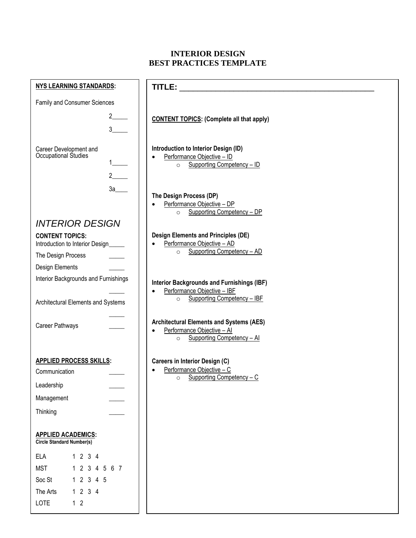# **INTERIOR DESIGN BEST PRACTICES TEMPLATE**

| <b>NYS LEARNING STANDARDS:</b>                                                                                    |                                                                                                                                         |
|-------------------------------------------------------------------------------------------------------------------|-----------------------------------------------------------------------------------------------------------------------------------------|
| Family and Consumer Sciences                                                                                      |                                                                                                                                         |
| $2 \left( \frac{1}{2} \right)$<br>$3^{\circ}$                                                                     | <b>CONTENT TOPICS: (Complete all that apply)</b>                                                                                        |
| Career Development and<br>Occupational Studies<br>$2 \qquad \qquad$                                               | Introduction to Interior Design (ID)<br>Performance Objective - ID<br>$\bullet$<br>o Supporting Competency - ID                         |
| 3a                                                                                                                | The Design Process (DP)<br>Performance Objective - DP<br>Supporting Competency - DP<br>$\circ$                                          |
| <b>INTERIOR DESIGN</b>                                                                                            |                                                                                                                                         |
| <b>CONTENT TOPICS:</b><br>Introduction to Interior Design_____                                                    | <b>Design Elements and Principles (DE)</b><br>Performance Objective - AD                                                                |
| The Design Process                                                                                                | o Supporting Competency - AD                                                                                                            |
| Design Elements                                                                                                   |                                                                                                                                         |
| Interior Backgrounds and Furnishings<br>Architectural Elements and Systems                                        | <b>Interior Backgrounds and Furnishings (IBF)</b><br>Performance Objective - IBF<br>$\bullet$<br>Supporting Competency - IBF<br>$\circ$ |
| Career Pathways                                                                                                   | <b>Architectural Elements and Systems (AES)</b><br>Performance Objective - Al<br>$\bullet$<br>Supporting Competency - Al<br>$\circ$     |
| <b>APPLIED PROCESS SKILLS:</b><br>Communication<br>Leadership<br>Management                                       | <b>Careers in Interior Design (C)</b><br>Performance Objective - C<br>Supporting Competency - C<br>$\circ$                              |
| Thinking                                                                                                          |                                                                                                                                         |
| <b>APPLIED ACADEMICS:</b><br>Circle Standard Number(s)                                                            |                                                                                                                                         |
| <b>ELA</b><br>1234<br><b>MST</b><br>1 2 3 4 5 6 7<br>Soc St<br>1 2 3 4 5<br>1234<br>The Arts<br>LOTE<br>$1\quad2$ |                                                                                                                                         |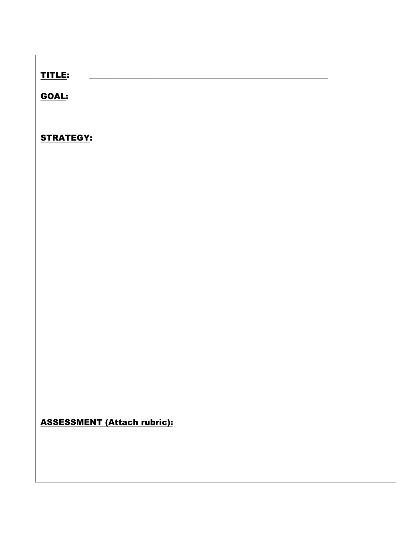# TITLE: **\_\_\_\_\_\_\_\_\_\_\_\_\_\_\_\_\_\_\_\_\_\_\_\_\_\_\_\_\_\_\_\_\_\_\_\_\_\_\_\_\_\_\_\_\_\_\_\_\_\_\_\_\_\_\_**

GOAL:

STRATEGY:

ASSESSMENT (Attach rubric):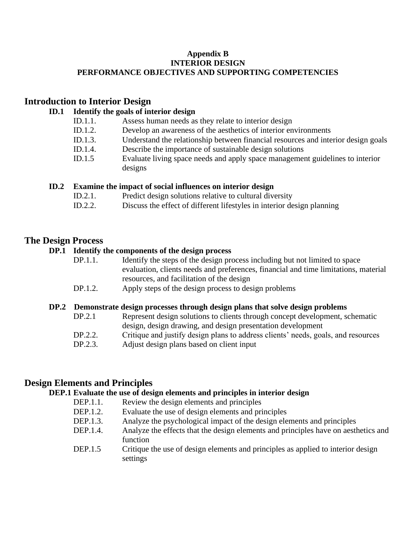#### **Appendix B INTERIOR DESIGN PERFORMANCE OBJECTIVES AND SUPPORTING COMPETENCIES**

# **Introduction to Interior Design**

# **ID.1 Identify the goals of interior design**

- ID.1.1. Assess human needs as they relate to interior design
- ID.1.2. Develop an awareness of the aesthetics of interior environments
- ID.1.3. Understand the relationship between financial resources and interior design goals
- ID.1.4. Describe the importance of sustainable design solutions
- ID.1.5 Evaluate living space needs and apply space management guidelines to interior designs

# **ID.2 Examine the impact of social influences on interior design**

- ID.2.1. Predict design solutions relative to cultural diversity
- ID.2.2. Discuss the effect of different lifestyles in interior design planning

# **The Design Process**

# **DP.1 Identify the components of the design process**

- DP.1.1. Identify the steps of the design process including but not limited to space evaluation, clients needs and preferences, financial and time limitations, material resources, and facilitation of the design
- DP.1.2. Apply steps of the design process to design problems

# **DP.2 Demonstrate design processes through design plans that solve design problems**

- DP.2.1 Represent design solutions to clients through concept development, schematic design, design drawing, and design presentation development
- DP.2.2. Critique and justify design plans to address clients' needs, goals, and resources
- DP.2.3. Adjust design plans based on client input

# **Design Elements and Principles**

# **DEP.1 Evaluate the use of design elements and principles in interior design**

- DEP.1.1. Review the design elements and principles
- DEP.1.2. Evaluate the use of design elements and principles
- DEP.1.3. Analyze the psychological impact of the design elements and principles
- DEP.1.4. Analyze the effects that the design elements and principles have on aesthetics and function
- DEP.1.5 Critique the use of design elements and principles as applied to interior design settings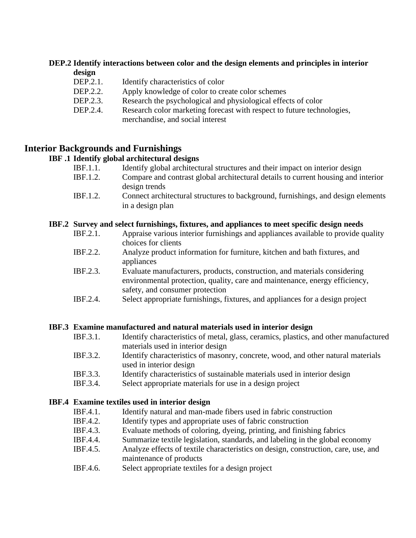# **DEP.2 Identify interactions between color and the design elements and principles in interior**

- **design**
- DEP.2.1. Identify characteristics of color
- DEP.2.2. Apply knowledge of color to create color schemes
- DEP.2.3. Research the psychological and physiological effects of color
- DEP.2.4. Research color marketing forecast with respect to future technologies, merchandise, and social interest

# **Interior Backgrounds and Furnishings**

# **IBF .1 Identify global architectural designs**

- IBF.1.1. Identify global architectural structures and their impact on interior design
- IBF.1.2. Compare and contrast global architectural details to current housing and interior design trends
- IBF.1.2. Connect architectural structures to background, furnishings, and design elements in a design plan

#### **IBF.2 Survey and select furnishings, fixtures, and appliances to meet specific design needs**

- IBF.2.1. Appraise various interior furnishings and appliances available to provide quality choices for clients
- IBF.2.2. Analyze product information for furniture, kitchen and bath fixtures, and appliances
- IBF.2.3. Evaluate manufacturers, products, construction, and materials considering environmental protection, quality, care and maintenance, energy efficiency, safety, and consumer protection
- IBF.2.4. Select appropriate furnishings, fixtures, and appliances for a design project

# **IBF.3 Examine manufactured and natural materials used in interior design**

- IBF.3.1. Identify characteristics of metal, glass, ceramics, plastics, and other manufactured materials used in interior design
- IBF.3.2. Identify characteristics of masonry, concrete, wood, and other natural materials used in interior design
- IBF.3.3. Identify characteristics of sustainable materials used in interior design
- IBF.3.4. Select appropriate materials for use in a design project

# **IBF.4 Examine textiles used in interior design**

- IBF.4.1. Identify natural and man-made fibers used in fabric construction
- IBF.4.2. Identify types and appropriate uses of fabric construction
- IBF.4.3. Evaluate methods of coloring, dyeing, printing, and finishing fabrics
- IBF.4.4. Summarize textile legislation, standards, and labeling in the global economy
- IBF.4.5. Analyze effects of textile characteristics on design, construction, care, use, and maintenance of products
- IBF.4.6. Select appropriate textiles for a design project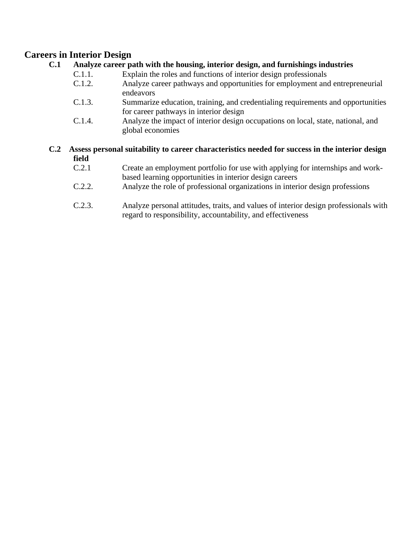# **Careers in Interior Design**

# **C.1 Analyze career path with the housing, interior design, and furnishings industries**

- C.1.1. Explain the roles and functions of interior design professionals
- C.1.2. Analyze career pathways and opportunities for employment and entrepreneurial endeavors
- C.1.3. Summarize education, training, and credentialing requirements and opportunities for career pathways in interior design
- C.1.4. Analyze the impact of interior design occupations on local, state, national, and global economies
- **C.2 Assess personal suitability to career characteristics needed for success in the interior design field**
	- C.2.1 Create an employment portfolio for use with applying for internships and workbased learning opportunities in interior design careers
	- C.2.2. Analyze the role of professional organizations in interior design professions
	- C.2.3. Analyze personal attitudes, traits, and values of interior design professionals with regard to responsibility, accountability, and effectiveness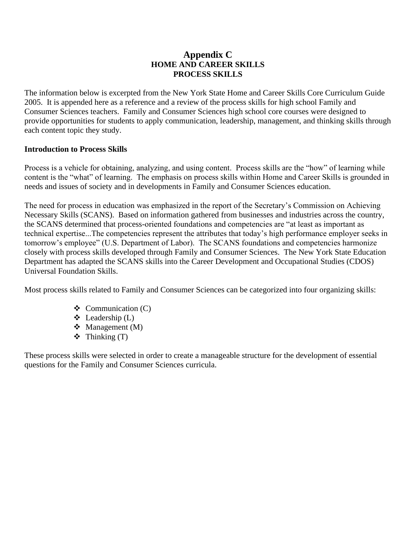# **Appendix C HOME AND CAREER SKILLS PROCESS SKILLS**

The information below is excerpted from the New York State Home and Career Skills Core Curriculum Guide 2005. It is appended here as a reference and a review of the process skills for high school Family and Consumer Sciences teachers. Family and Consumer Sciences high school core courses were designed to provide opportunities for students to apply communication, leadership, management, and thinking skills through each content topic they study.

#### **Introduction to Process Skills**

Process is a vehicle for obtaining, analyzing, and using content. Process skills are the "how" of learning while content is the "what" of learning. The emphasis on process skills within Home and Career Skills is grounded in needs and issues of society and in developments in Family and Consumer Sciences education.

The need for process in education was emphasized in the report of the Secretary's Commission on Achieving Necessary Skills (SCANS). Based on information gathered from businesses and industries across the country, the SCANS determined that process-oriented foundations and competencies are "at least as important as technical expertise...The competencies represent the attributes that today's high performance employer seeks in tomorrow's employee" (U.S. Department of Labor). The SCANS foundations and competencies harmonize closely with process skills developed through Family and Consumer Sciences. The New York State Education Department has adapted the SCANS skills into the Career Development and Occupational Studies (CDOS) Universal Foundation Skills.

Most process skills related to Family and Consumer Sciences can be categorized into four organizing skills:

- $\triangleleft$  Communication (C)
- $\triangleleft$  Leadership (L)
- ❖ Management (M)
- $\div$  Thinking (T)

These process skills were selected in order to create a manageable structure for the development of essential questions for the Family and Consumer Sciences curricula.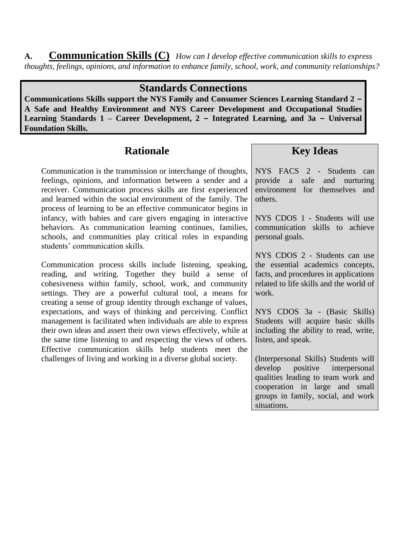**A. Communication Skills (C)** *How can I develop effective communication skills to express thoughts, feelings, opinions, and information to enhance family, school, work, and community relationships?*

# **Standards Connections**

**Communications Skills support the NYS Family and Consumer Sciences Learning Standard 2 – A Safe and Healthy Environment and NYS Career Development and Occupational Studies Learning Standards 1 – Career Development, 2 – Integrated Learning, and 3a – Universal Foundation Skills.**

# **Rationale**

Communication is the transmission or interchange of thoughts, feelings, opinions, and information between a sender and a receiver. Communication process skills are first experienced and learned within the social environment of the family. The process of learning to be an effective communicator begins in infancy, with babies and care givers engaging in interactive behaviors. As communication learning continues, families, schools, and communities play critical roles in expanding students' communication skills.

Communication process skills include listening, speaking, reading, and writing. Together they build a sense of cohesiveness within family, school, work, and community settings. They are a powerful cultural tool, a means for creating a sense of group identity through exchange of values, expectations, and ways of thinking and perceiving. Conflict management is facilitated when individuals are able to express their own ideas and assert their own views effectively, while at the same time listening to and respecting the views of others. Effective communication skills help students meet the challenges of living and working in a diverse global society.

**Key Ideas**

NYS FACS 2 - Students can provide a safe and nurturing environment for themselves and others.

NYS CDOS 1 - Students will use communication skills to achieve personal goals.

NYS CDOS 2 - Students can use the essential academics concepts, facts, and procedures in applications related to life skills and the world of work.

NYS CDOS 3a - (Basic Skills) Students will acquire basic skills including the ability to read, write, listen, and speak.

(Interpersonal Skills) Students will develop positive interpersonal qualities leading to team work and cooperation in large and small groups in family, social, and work situations.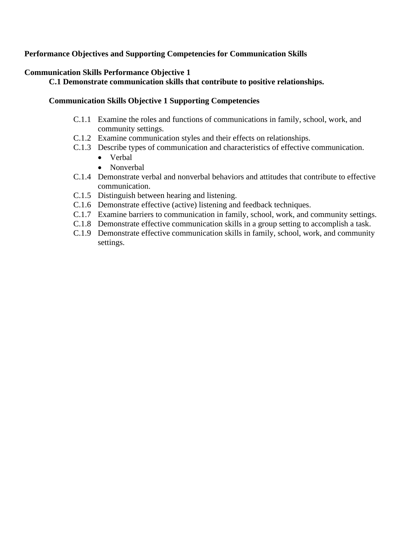# **Performance Objectives and Supporting Competencies for Communication Skills**

# **Communication Skills Performance Objective 1**

# **C.1 Demonstrate communication skills that contribute to positive relationships.**

### **Communication Skills Objective 1 Supporting Competencies**

- C.1.1 Examine the roles and functions of communications in family, school, work, and community settings.
- C.1.2 Examine communication styles and their effects on relationships.
- C.1.3 Describe types of communication and characteristics of effective communication.
	- Verbal
	- Nonverbal
- C.1.4 Demonstrate verbal and nonverbal behaviors and attitudes that contribute to effective communication.
- C.1.5 Distinguish between hearing and listening.
- C.1.6 Demonstrate effective (active) listening and feedback techniques.
- C.1.7 Examine barriers to communication in family, school, work, and community settings.
- C.1.8 Demonstrate effective communication skills in a group setting to accomplish a task.
- C.1.9 Demonstrate effective communication skills in family, school, work, and community settings.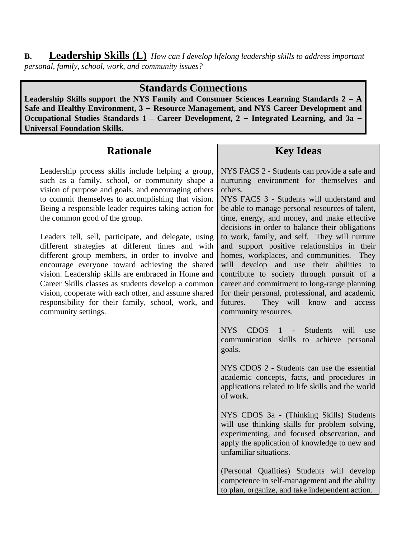**B. Leadership Skills (L)** *How can I develop lifelong leadership skills to address important personal, family, school, work, and community issues?*

# **Standards Connections**

**Leadership Skills support the NYS Family and Consumer Sciences Learning Standards 2 – A Safe and Healthy Environment, 3 – Resource Management, and NYS Career Development and Occupational Studies Standards 1 – Career Development, 2 – Integrated Learning, and 3a – Universal Foundation Skills.**

# **Rationale**

Leadership process skills include helping a group, such as a family, school, or community shape a vision of purpose and goals, and encouraging others to commit themselves to accomplishing that vision. Being a responsible leader requires taking action for the common good of the group.

Leaders tell, sell, participate, and delegate, using different strategies at different times and with different group members, in order to involve and encourage everyone toward achieving the shared vision. Leadership skills are embraced in Home and Career Skills classes as students develop a common vision, cooperate with each other, and assume shared responsibility for their family, school, work, and community settings.

# **Key Ideas**

NYS FACS 2 - Students can provide a safe and nurturing environment for themselves and others.

NYS FACS 3 - Students will understand and be able to manage personal resources of talent, time, energy, and money, and make effective decisions in order to balance their obligations to work, family, and self. They will nurture and support positive relationships in their homes, workplaces, and communities. They will develop and use their abilities to contribute to society through pursuit of a career and commitment to long-range planning for their personal, professional, and academic futures. They will know and access community resources.

NYS CDOS 1 - Students will use communication skills to achieve personal goals.

NYS CDOS 2 - Students can use the essential academic concepts, facts, and procedures in applications related to life skills and the world of work.

NYS CDOS 3a - (Thinking Skills) Students will use thinking skills for problem solving, experimenting, and focused observation, and apply the application of knowledge to new and unfamiliar situations.

(Personal Qualities) Students will develop competence in self-management and the ability to plan, organize, and take independent action.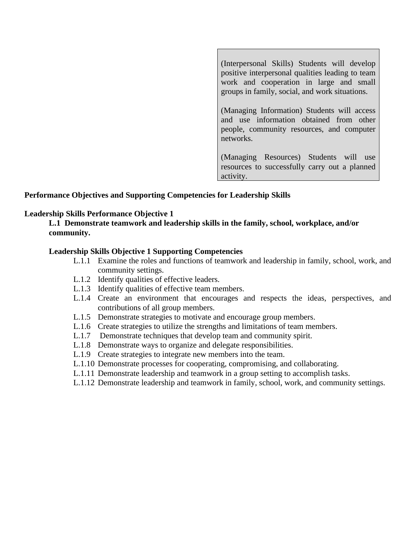(Interpersonal Skills) Students will develop positive interpersonal qualities leading to team work and cooperation in large and small groups in family, social, and work situations.

(Managing Information) Students will access and use information obtained from other people, community resources, and computer networks.

(Managing Resources) Students will use resources to successfully carry out a planned activity.

#### **Performance Objectives and Supporting Competencies for Leadership Skills**

#### **Leadership Skills Performance Objective 1**

**L.1 Demonstrate teamwork and leadership skills in the family, school, workplace, and/or community.**

#### **Leadership Skills Objective 1 Supporting Competencies**

- L.1.1 Examine the roles and functions of teamwork and leadership in family, school, work, and community settings.
- L.1.2 Identify qualities of effective leaders.
- L.1.3 Identify qualities of effective team members.
- L.1.4 Create an environment that encourages and respects the ideas, perspectives, and contributions of all group members.
- L.1.5 Demonstrate strategies to motivate and encourage group members.
- L.1.6 Create strategies to utilize the strengths and limitations of team members.
- L.1.7 Demonstrate techniques that develop team and community spirit.
- L.1.8 Demonstrate ways to organize and delegate responsibilities.
- L.1.9 Create strategies to integrate new members into the team.
- L.1.10 Demonstrate processes for cooperating, compromising, and collaborating.
- L.1.11 Demonstrate leadership and teamwork in a group setting to accomplish tasks.
- L.1.12 Demonstrate leadership and teamwork in family, school, work, and community settings.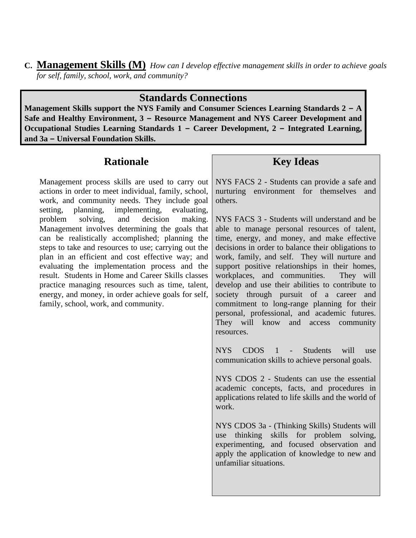**C. Management Skills (M)** *How can I develop effective management skills in order to achieve goals for self, family, school, work, and community?*

# **Standards Connections**

**Management Skills support the NYS Family and Consumer Sciences Learning Standards 2 – A Safe and Healthy Environment, 3 – Resource Management and NYS Career Development and Occupational Studies Learning Standards 1 – Career Development, 2 – Integrated Learning, and 3a – Universal Foundation Skills.**

# **Rationale**

Management process skills are used to carry out actions in order to meet individual, family, school, work, and community needs. They include goal setting, planning, implementing, evaluating, problem solving, and decision making. Management involves determining the goals that can be realistically accomplished; planning the steps to take and resources to use; carrying out the plan in an efficient and cost effective way; and evaluating the implementation process and the result. Students in Home and Career Skills classes practice managing resources such as time, talent, energy, and money, in order achieve goals for self, family, school, work, and community.

# **Key Ideas**

NYS FACS 2 - Students can provide a safe and nurturing environment for themselves and others.

NYS FACS 3 - Students will understand and be able to manage personal resources of talent, time, energy, and money, and make effective decisions in order to balance their obligations to work, family, and self. They will nurture and support positive relationships in their homes, workplaces, and communities. They will develop and use their abilities to contribute to society through pursuit of a career and commitment to long-range planning for their personal, professional, and academic futures. They will know and access community resources.

NYS CDOS 1 - Students will use communication skills to achieve personal goals.

NYS CDOS 2 - Students can use the essential academic concepts, facts, and procedures in applications related to life skills and the world of work.

NYS CDOS 3a - (Thinking Skills) Students will use thinking skills for problem solving, experimenting, and focused observation and apply the application of knowledge to new and unfamiliar situations.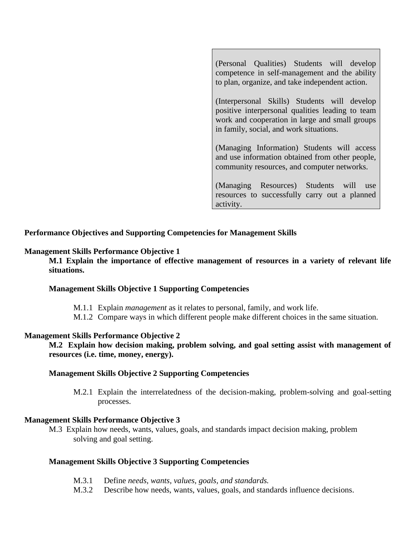(Personal Qualities) Students will develop competence in self-management and the ability to plan, organize, and take independent action.

(Interpersonal Skills) Students will develop positive interpersonal qualities leading to team work and cooperation in large and small groups in family, social, and work situations.

(Managing Information) Students will access and use information obtained from other people, community resources, and computer networks.

(Managing Resources) Students will use resources to successfully carry out a planned activity.

#### **Performance Objectives and Supporting Competencies for Management Skills**

#### **Management Skills Performance Objective 1**

**M.1 Explain the importance of effective management of resources in a variety of relevant life situations.**

#### **Management Skills Objective 1 Supporting Competencies**

- M.1.1 Explain *management* as it relates to personal, family, and work life.
- M.1.2 Compare ways in which different people make different choices in the same situation.

#### **Management Skills Performance Objective 2**

**M.2 Explain how decision making, problem solving, and goal setting assist with management of resources (i.e. time, money, energy).**

#### **Management Skills Objective 2 Supporting Competencies**

M.2.1 Explain the interrelatedness of the decision-making, problem-solving and goal-setting processes.

#### **Management Skills Performance Objective 3**

M.3 Explain how needs, wants, values, goals, and standards impact decision making, problem solving and goal setting.

#### **Management Skills Objective 3 Supporting Competencies**

- M.3.1 Define *needs, wants, values, goals, and standards.*
- M.3.2 Describe how needs, wants, values, goals, and standards influence decisions.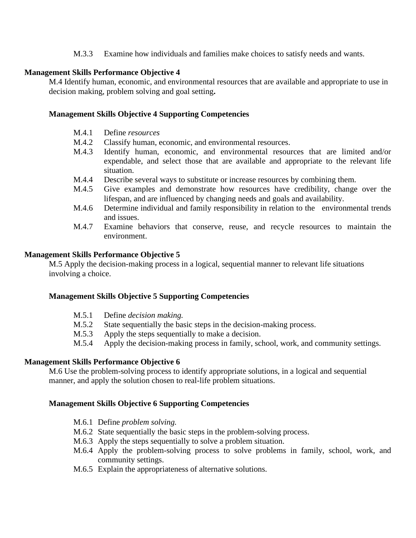M.3.3 Examine how individuals and families make choices to satisfy needs and wants.

#### **Management Skills Performance Objective 4**

M.4 Identify human, economic, and environmental resources that are available and appropriate to use in decision making, problem solving and goal setting**.**

#### **Management Skills Objective 4 Supporting Competencies**

- M.4.1 Define *resources*
- M.4.2 Classify human, economic, and environmental resources.
- M.4.3 Identify human, economic, and environmental resources that are limited and/or expendable, and select those that are available and appropriate to the relevant life situation.
- M.4.4 Describe several ways to substitute or increase resources by combining them.
- M.4.5 Give examples and demonstrate how resources have credibility, change over the lifespan, and are influenced by changing needs and goals and availability.
- M.4.6 Determine individual and family responsibility in relation to the environmental trends and issues.
- M.4.7 Examine behaviors that conserve, reuse, and recycle resources to maintain the environment.

#### **Management Skills Performance Objective 5**

M.5 Apply the decision-making process in a logical, sequential manner to relevant life situations involving a choice.

#### **Management Skills Objective 5 Supporting Competencies**

- M.5.1 Define *decision making.*
- M.5.2 State sequentially the basic steps in the decision-making process.
- M.5.3 Apply the steps sequentially to make a decision.
- M.5.4 Apply the decision-making process in family, school, work, and community settings.

#### **Management Skills Performance Objective 6**

M.6 Use the problem-solving process to identify appropriate solutions, in a logical and sequential manner, and apply the solution chosen to real-life problem situations.

#### **Management Skills Objective 6 Supporting Competencies**

- M.6.1 Define *problem solving.*
- M.6.2 State sequentially the basic steps in the problem-solving process.
- M.6.3 Apply the steps sequentially to solve a problem situation.
- M.6.4 Apply the problem-solving process to solve problems in family, school, work, and community settings.
- M.6.5 Explain the appropriateness of alternative solutions.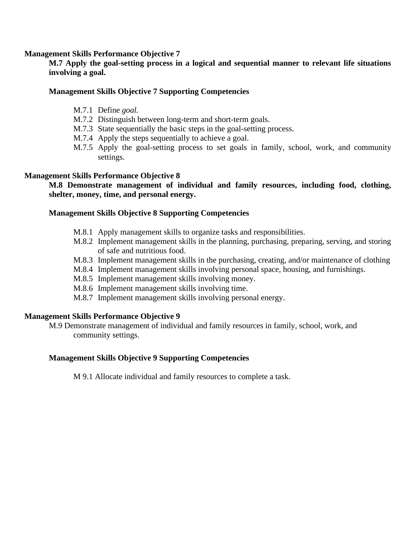#### **Management Skills Performance Objective 7**

**M.7 Apply the goal-setting process in a logical and sequential manner to relevant life situations involving a goal.**

#### **Management Skills Objective 7 Supporting Competencies**

- M.7.1 Define *goal.*
- M.7.2 Distinguish between long-term and short-term goals.
- M.7.3 State sequentially the basic steps in the goal-setting process.
- M.7.4 Apply the steps sequentially to achieve a goal.
- M.7.5 Apply the goal-setting process to set goals in family, school, work, and community settings.

#### **Management Skills Performance Objective 8**

**M.8 Demonstrate management of individual and family resources, including food, clothing, shelter, money, time, and personal energy.**

#### **Management Skills Objective 8 Supporting Competencies**

- M.8.1 Apply management skills to organize tasks and responsibilities.
- M.8.2 Implement management skills in the planning, purchasing, preparing, serving, and storing of safe and nutritious food.
- M.8.3 Implement management skills in the purchasing, creating, and/or maintenance of clothing
- M.8.4 Implement management skills involving personal space, housing, and furnishings.
- M.8.5 Implement management skills involving money.
- M.8.6 Implement management skills involving time.
- M.8.7 Implement management skills involving personal energy.

#### **Management Skills Performance Objective 9**

M.9 Demonstrate management of individual and family resources in family, school, work, and community settings.

#### **Management Skills Objective 9 Supporting Competencies**

M 9.1 Allocate individual and family resources to complete a task.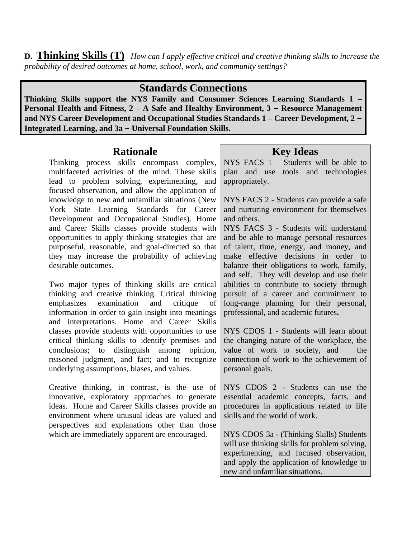**D. Thinking Skills (T)** *How can I apply effective critical and creative thinking skills to increase the probability of desired outcomes at home, school, work, and community settings?*

# **Standards Connections**

**Thinking Skills support the NYS Family and Consumer Sciences Learning Standards 1 – Personal Health and Fitness, 2 – A Safe and Healthy Environment, 3 – Resource Management and NYS Career Development and Occupational Studies Standards 1 – Career Development, 2 – Integrated Learning, and 3a – Universal Foundation Skills.**

# **Rationale**

Thinking process skills encompass complex, multifaceted activities of the mind. These skills lead to problem solving, experimenting, and focused observation, and allow the application of knowledge to new and unfamiliar situations (New York State Learning Standards for Career Development and Occupational Studies). Home and Career Skills classes provide students with opportunities to apply thinking strategies that are purposeful, reasonable, and goal-directed so that they may increase the probability of achieving desirable outcomes.

Two major types of thinking skills are critical thinking and creative thinking. Critical thinking emphasizes examination and critique of information in order to gain insight into meanings and interpretations. Home and Career Skills classes provide students with opportunities to use critical thinking skills to identify premises and conclusions; to distinguish among opinion, reasoned judgment, and fact; and to recognize underlying assumptions, biases, and values.

Creative thinking, in contrast, is the use of innovative, exploratory approaches to generate ideas. Home and Career Skills classes provide an environment where unusual ideas are valued and perspectives and explanations other than those which are immediately apparent are encouraged.

# **Key Ideas**

NYS FACS 1 – Students will be able to plan and use tools and technologies appropriately.

NYS FACS 2 - Students can provide a safe and nurturing environment for themselves and others.

NYS FACS 3 - Students will understand and be able to manage personal resources of talent, time, energy, and money, and make effective decisions in order to balance their obligations to work, family, and self. They will develop and use their abilities to contribute to society through pursuit of a career and commitment to long-range planning for their personal, professional, and academic futures*.* 

NYS CDOS 1 - Students will learn about the changing nature of the workplace, the value of work to society, and the connection of work to the achievement of personal goals.

NYS CDOS 2 - Students can use the essential academic concepts, facts, and procedures in applications related to life skills and the world of work.

NYS CDOS 3a - (Thinking Skills) Students will use thinking skills for problem solving, experimenting, and focused observation, and apply the application of knowledge to new and unfamiliar situations.